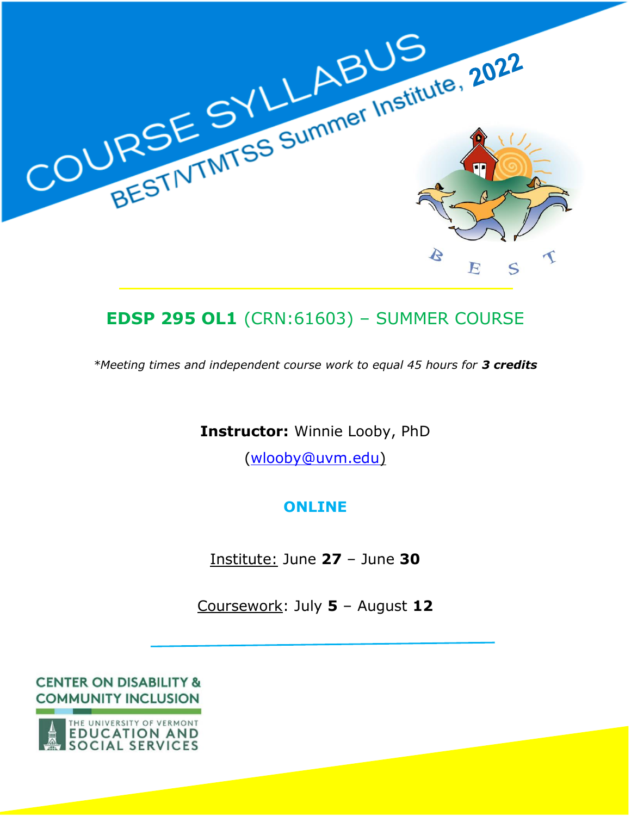

# **EDSP 295 OL1** (CRN:61603) – SUMMER COURSE

*\*Meeting times and independent course work to equal 45 hours for 3 credits*

**Instructor:** Winnie Looby, PhD

[\(wlooby@uvm.edu\)](mailto:wlooby@uvm.edu)

# **ONLINE**

Institute: June **27** – June **30**

Coursework: July **5** – August **12**

**CENTER ON DISABILITY & COMMUNITY INCLUSION** 

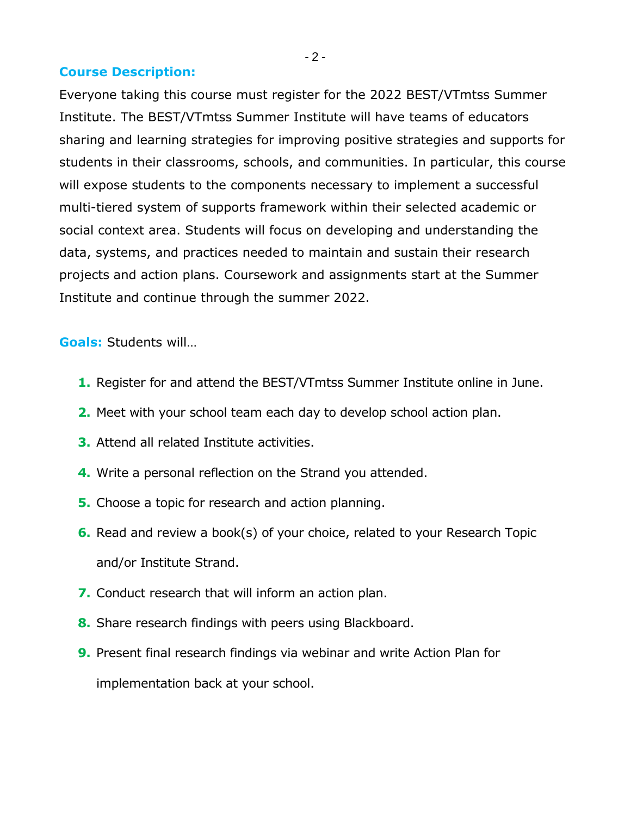#### **Course Description:**

Everyone taking this course must register for the 2022 BEST/VTmtss Summer Institute. The BEST/VTmtss Summer Institute will have teams of educators sharing and learning strategies for improving positive strategies and supports for students in their classrooms, schools, and communities. In particular, this course will expose students to the components necessary to implement a successful multi-tiered system of supports framework within their selected academic or social context area. Students will focus on developing and understanding the data, systems, and practices needed to maintain and sustain their research projects and action plans. Coursework and assignments start at the Summer Institute and continue through the summer 2022.

#### **Goals:** Students will…

- **1.** Register for and attend the BEST/VTmtss Summer Institute online in June.
- **2.** Meet with your school team each day to develop school action plan.
- **3.** Attend all related Institute activities.
- **4.** Write a personal reflection on the Strand you attended.
- **5.** Choose a topic for research and action planning.
- **6.** Read and review a book(s) of your choice, related to your Research Topic and/or Institute Strand.
- **7.** Conduct research that will inform an action plan.
- **8.** Share research findings with peers using Blackboard.
- **9.** Present final research findings via webinar and write Action Plan for implementation back at your school.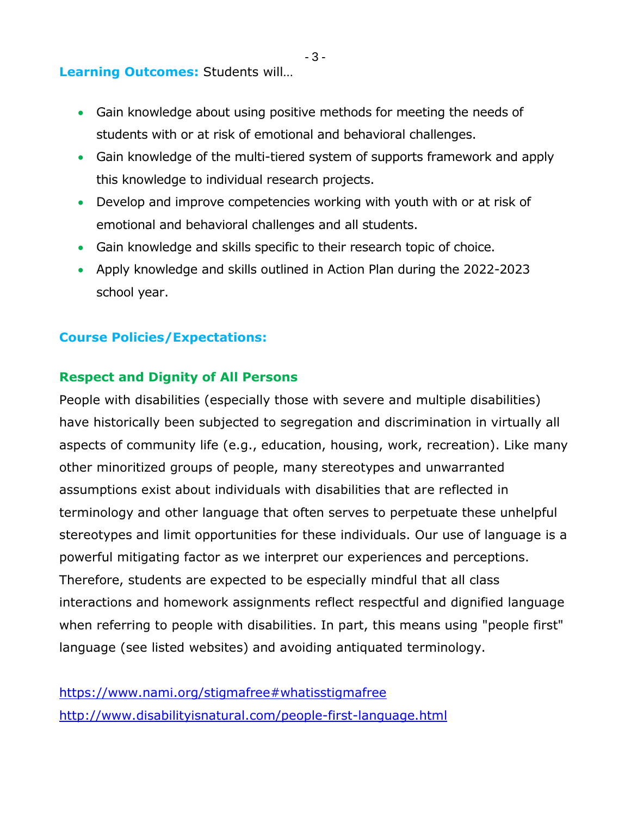# **Learning Outcomes:** Students will…

- Gain knowledge about using positive methods for meeting the needs of students with or at risk of emotional and behavioral challenges.
- Gain knowledge of the multi-tiered system of supports framework and apply this knowledge to individual research projects.
- Develop and improve competencies working with youth with or at risk of emotional and behavioral challenges and all students.
- Gain knowledge and skills specific to their research topic of choice.
- Apply knowledge and skills outlined in Action Plan during the 2022-2023 school year.

# **Course Policies/Expectations:**

#### **Respect and Dignity of All Persons**

People with disabilities (especially those with severe and multiple disabilities) have historically been subjected to segregation and discrimination in virtually all aspects of community life (e.g., education, housing, work, recreation). Like many other minoritized groups of people, many stereotypes and unwarranted assumptions exist about individuals with disabilities that are reflected in terminology and other language that often serves to perpetuate these unhelpful stereotypes and limit opportunities for these individuals. Our use of language is a powerful mitigating factor as we interpret our experiences and perceptions. Therefore, students are expected to be especially mindful that all class interactions and homework assignments reflect respectful and dignified language when referring to people with disabilities. In part, this means using "people first" language (see listed websites) and avoiding antiquated terminology.

<https://www.nami.org/stigmafree#whatisstigmafree> <http://www.disabilityisnatural.com/people-first-language.html>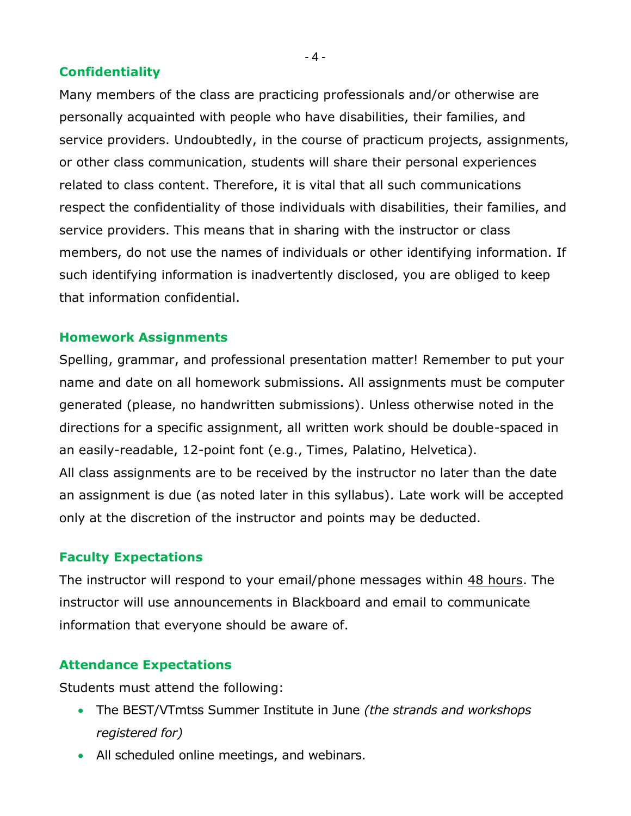# **Confidentiality**

Many members of the class are practicing professionals and/or otherwise are personally acquainted with people who have disabilities, their families, and service providers. Undoubtedly, in the course of practicum projects, assignments, or other class communication, students will share their personal experiences related to class content. Therefore, it is vital that all such communications respect the confidentiality of those individuals with disabilities, their families, and service providers. This means that in sharing with the instructor or class members, do not use the names of individuals or other identifying information. If such identifying information is inadvertently disclosed, you are obliged to keep that information confidential.

#### **Homework Assignments**

Spelling, grammar, and professional presentation matter! Remember to put your name and date on all homework submissions. All assignments must be computer generated (please, no handwritten submissions). Unless otherwise noted in the directions for a specific assignment, all written work should be double-spaced in an easily-readable, 12-point font (e.g., Times, Palatino, Helvetica). All class assignments are to be received by the instructor no later than the date

an assignment is due (as noted later in this syllabus). Late work will be accepted only at the discretion of the instructor and points may be deducted.

# **Faculty Expectations**

The instructor will respond to your email/phone messages within 48 hours. The instructor will use announcements in Blackboard and email to communicate information that everyone should be aware of.

# **Attendance Expectations**

Students must attend the following:

- The BEST/VTmtss Summer Institute in June *(the strands and workshops registered for)*
- All scheduled online meetings, and webinars.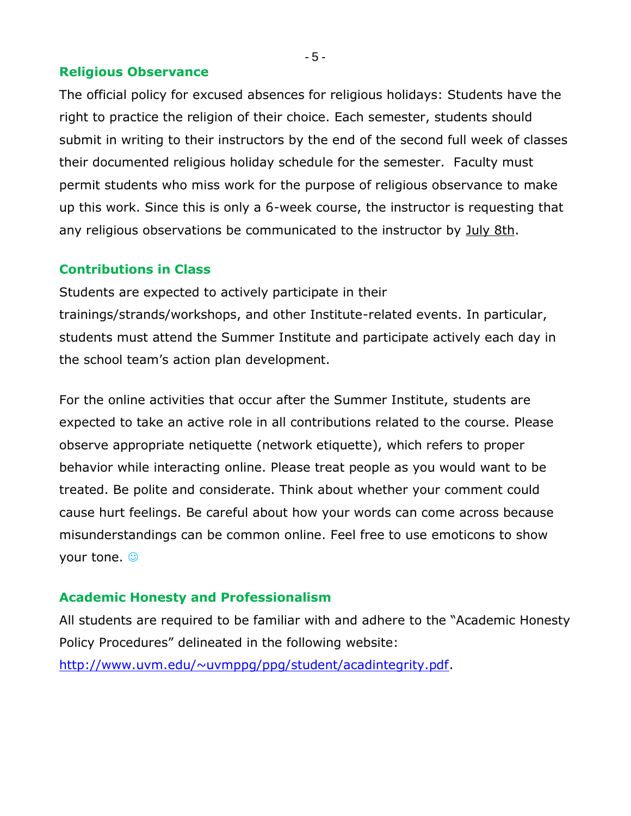#### **Religious Observance**

The official policy for excused absences for religious holidays: Students have the right to practice the religion of their choice. Each semester, students should submit in writing to their instructors by the end of the second full week of classes their documented religious holiday schedule for the semester. Faculty must permit students who miss work for the purpose of religious observance to make up this work. Since this is only a 6-week course, the instructor is requesting that any religious observations be communicated to the instructor by July 8th.

#### **Contributions in Class**

Students are expected to actively participate in their trainings/strands/workshops, and other Institute-related events. In particular, students must attend the Summer Institute and participate actively each day in the school team's action plan development.

For the online activities that occur after the Summer Institute, students are expected to take an active role in all contributions related to the course. Please observe appropriate netiquette (network etiquette), which refers to proper behavior while interacting online. Please treat people as you would want to be treated. Be polite and considerate. Think about whether your comment could cause hurt feelings. Be careful about how your words can come across because misunderstandings can be common online. Feel free to use emoticons to show your tone.  $\odot$ 

#### **Academic Honesty and Professionalism**

All students are required to be familiar with and adhere to the "Academic Honesty Policy Procedures" delineated in the following website: [http://www.uvm.edu/~uvmppg/ppg/student/acadintegrity.pdf.](http://www.uvm.edu/~uvmppg/ppg/student/acadintegrity.pdf)

- 5 -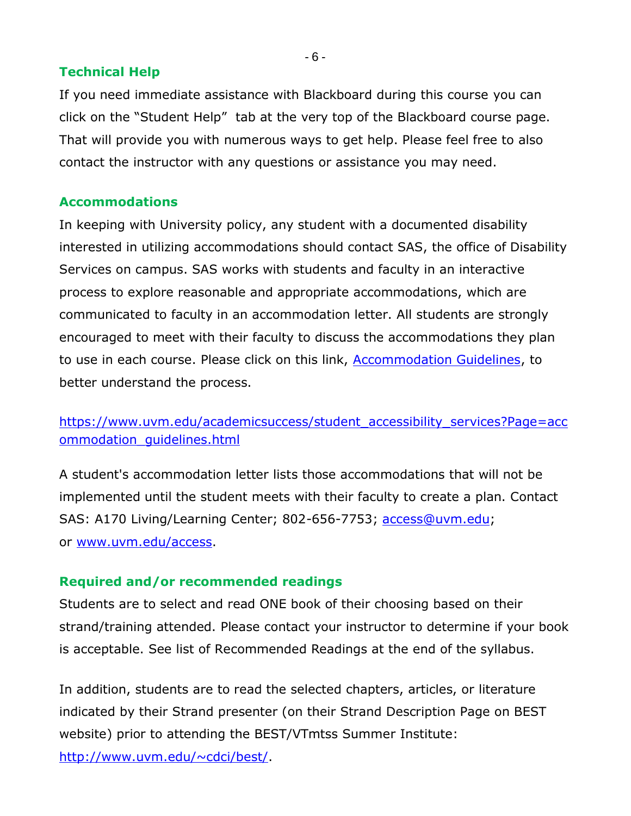## **Technical Help**

If you need immediate assistance with Blackboard during this course you can click on the "Student Help" tab at the very top of the Blackboard course page. That will provide you with numerous ways to get help. Please feel free to also contact the instructor with any questions or assistance you may need.

#### **Accommodations**

In keeping with University policy, any student with a documented disability interested in utilizing accommodations should contact SAS, the office of Disability Services on campus. SAS works with students and faculty in an interactive process to explore reasonable and appropriate accommodations, which are communicated to faculty in an accommodation letter. All students are strongly encouraged to meet with their faculty to discuss the accommodations they plan to use in each course. Please click on this link, [Accommodation Guidelines,](https://www.uvm.edu/academicsuccess/student_accessibility_services?Page=accommodation_guidelines.html) to better understand the process.

[https://www.uvm.edu/academicsuccess/student\\_accessibility\\_services?Page=acc](https://www.uvm.edu/academicsuccess/student_accessibility_services?Page=accommodation_guidelines.html) ommodation quidelines.html

A student's accommodation letter lists those accommodations that will not be implemented until the student meets with their faculty to create a plan. Contact SAS: A170 Living/Learning Center; 802-656-7753; [access@uvm.edu;](mailto:access@uvm.edu) or [www.uvm.edu/access.](http://www.uvm.edu/access)

# **Required and/or recommended readings**

Students are to select and read ONE book of their choosing based on their strand/training attended. Please contact your instructor to determine if your book is acceptable. See list of Recommended Readings at the end of the syllabus.

In addition, students are to read the selected chapters, articles, or literature indicated by their Strand presenter (on their Strand Description Page on BEST website) prior to attending the BEST/VTmtss Summer Institute:

[http://www.uvm.edu/~cdci/best/.](http://www.uvm.edu/~cdci/best/)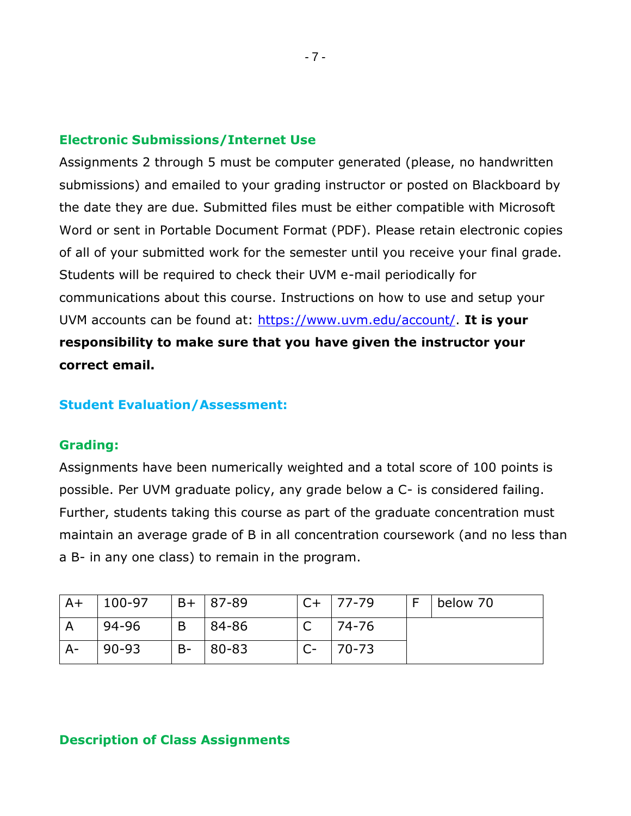#### **Electronic Submissions/Internet Use**

Assignments 2 through 5 must be computer generated (please, no handwritten submissions) and emailed to your grading instructor or posted on Blackboard by the date they are due. Submitted files must be either compatible with Microsoft Word or sent in Portable Document Format (PDF). Please retain electronic copies of all of your submitted work for the semester until you receive your final grade. Students will be required to check their UVM e-mail periodically for communications about this course. Instructions on how to use and setup your UVM accounts can be found at: [https://www.uvm.edu/account/.](https://www.uvm.edu/account/) **It is your responsibility to make sure that you have given the instructor your correct email.**

#### **Student Evaluation/Assessment:**

#### **Grading:**

Assignments have been numerically weighted and a total score of 100 points is possible. Per UVM graduate policy, any grade below a C- is considered failing. Further, students taking this course as part of the graduate concentration must maintain an average grade of B in all concentration coursework (and no less than a B- in any one class) to remain in the program.

| $A+$  | 100-97             |       | B+ 87-89   | $C+$ | $177 - 79$ | below 70 |
|-------|--------------------|-------|------------|------|------------|----------|
|       | <sup>94-96</sup> ! | B     | 84-86      |      | 74-76      |          |
| $A -$ | 90-93              | $B -$ | $ 80 - 83$ |      | $70 - 73$  |          |

# **Description of Class Assignments**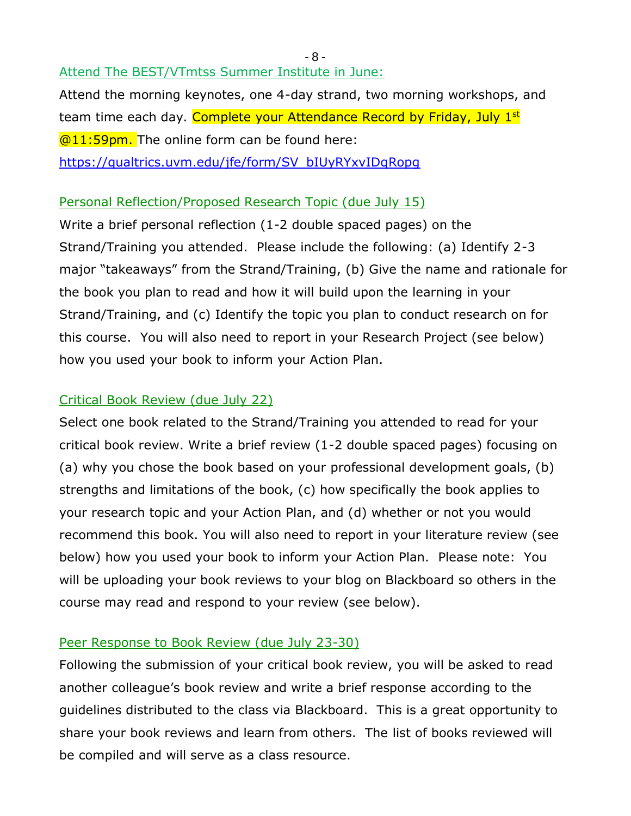Attend The BEST/VTmtss Summer Institute in June:

Attend the morning keynotes, one 4-day strand, two morning workshops, and team time each day. Complete your Attendance Record by Friday, July 1<sup>st</sup> **@11:59pm.** The online form can be found here: [https://qualtrics.uvm.edu/jfe/form/SV\\_bIUyRYxvIDqRopg](https://qualtrics.uvm.edu/jfe/form/SV_bIUyRYxvIDqRopg)

# Personal Reflection/Proposed Research Topic (due July 15)

Write a brief personal reflection (1-2 double spaced pages) on the Strand/Training you attended. Please include the following: (a) Identify 2-3 major "takeaways" from the Strand/Training, (b) Give the name and rationale for the book you plan to read and how it will build upon the learning in your Strand/Training, and (c) Identify the topic you plan to conduct research on for this course. You will also need to report in your Research Project (see below) how you used your book to inform your Action Plan.

# Critical Book Review (due July 22)

Select one book related to the Strand/Training you attended to read for your critical book review. Write a brief review (1-2 double spaced pages) focusing on (a) why you chose the book based on your professional development goals, (b) strengths and limitations of the book, (c) how specifically the book applies to your research topic and your Action Plan, and (d) whether or not you would recommend this book. You will also need to report in your literature review (see below) how you used your book to inform your Action Plan. Please note: You will be uploading your book reviews to your blog on Blackboard so others in the course may read and respond to your review (see below).

# Peer Response to Book Review (due July 23-30)

Following the submission of your critical book review, you will be asked to read another colleague's book review and write a brief response according to the guidelines distributed to the class via Blackboard. This is a great opportunity to share your book reviews and learn from others. The list of books reviewed will be compiled and will serve as a class resource.

- 8 -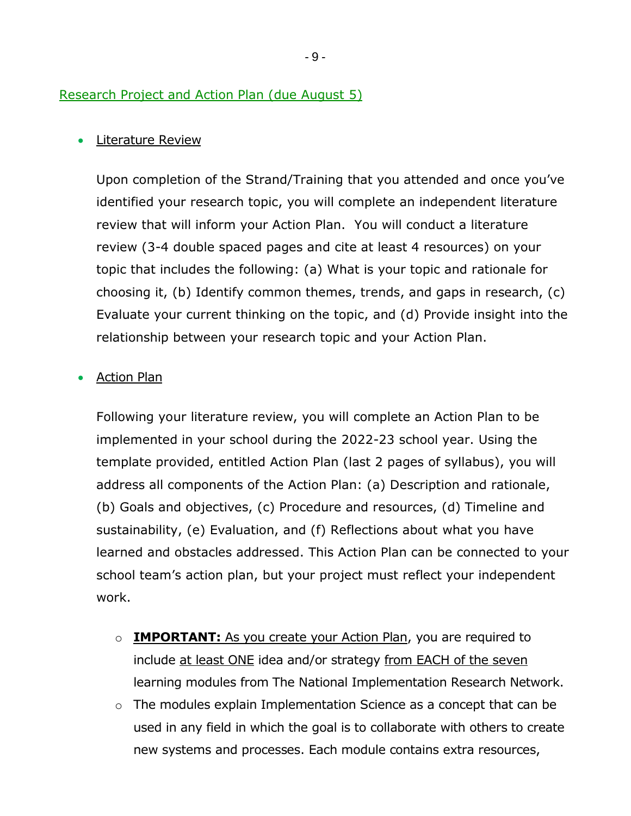#### Research Project and Action Plan (due August 5)

#### • Literature Review

Upon completion of the Strand/Training that you attended and once you've identified your research topic, you will complete an independent literature review that will inform your Action Plan. You will conduct a literature review (3-4 double spaced pages and cite at least 4 resources) on your topic that includes the following: (a) What is your topic and rationale for choosing it, (b) Identify common themes, trends, and gaps in research, (c) Evaluate your current thinking on the topic, and (d) Provide insight into the relationship between your research topic and your Action Plan.

#### • Action Plan

Following your literature review, you will complete an Action Plan to be implemented in your school during the 2022-23 school year. Using the template provided, entitled Action Plan (last 2 pages of syllabus), you will address all components of the Action Plan: (a) Description and rationale, (b) Goals and objectives, (c) Procedure and resources, (d) Timeline and sustainability, (e) Evaluation, and (f) Reflections about what you have learned and obstacles addressed. This Action Plan can be connected to your school team's action plan, but your project must reflect your independent work.

- o **IMPORTANT:** As you create your Action Plan, you are required to include at least ONE idea and/or strategy from EACH of the seven learning modules from The National Implementation Research Network.
- o The modules explain Implementation Science as a concept that can be used in any field in which the goal is to collaborate with others to create new systems and processes. Each module contains extra resources,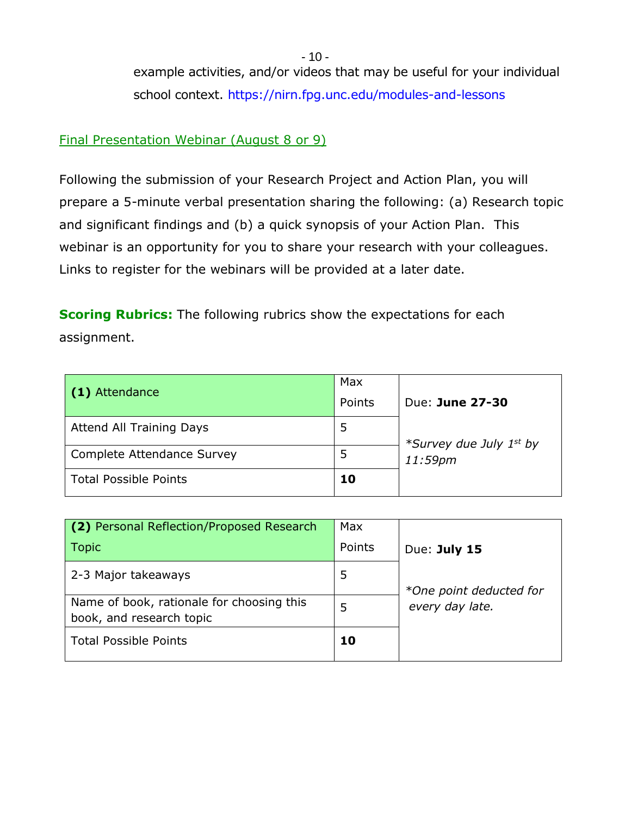example activities, and/or videos that may be useful for your individual school context.<https://nirn.fpg.unc.edu/modules-and-lessons>

## Final Presentation Webinar (August 8 or 9)

Following the submission of your Research Project and Action Plan, you will prepare a 5-minute verbal presentation sharing the following: (a) Research topic and significant findings and (b) a quick synopsis of your Action Plan. This webinar is an opportunity for you to share your research with your colleagues. Links to register for the webinars will be provided at a later date.

**Scoring Rubrics:** The following rubrics show the expectations for each assignment.

| (1) Attendance                  | Max<br>Points | Due: June 27-30                                |
|---------------------------------|---------------|------------------------------------------------|
| <b>Attend All Training Days</b> |               |                                                |
| Complete Attendance Survey      |               | *Survey due July 1 <sup>st</sup> by<br>11:59pm |
| <b>Total Possible Points</b>    | 10            |                                                |

| (2) Personal Reflection/Proposed Research                             | <b>Max</b> |                         |
|-----------------------------------------------------------------------|------------|-------------------------|
| <b>Topic</b>                                                          | Points     | Due: July 15            |
| 2-3 Major takeaways                                                   | 5          | *One point deducted for |
| Name of book, rationale for choosing this<br>book, and research topic | 5          | every day late.         |
| <b>Total Possible Points</b>                                          | 10         |                         |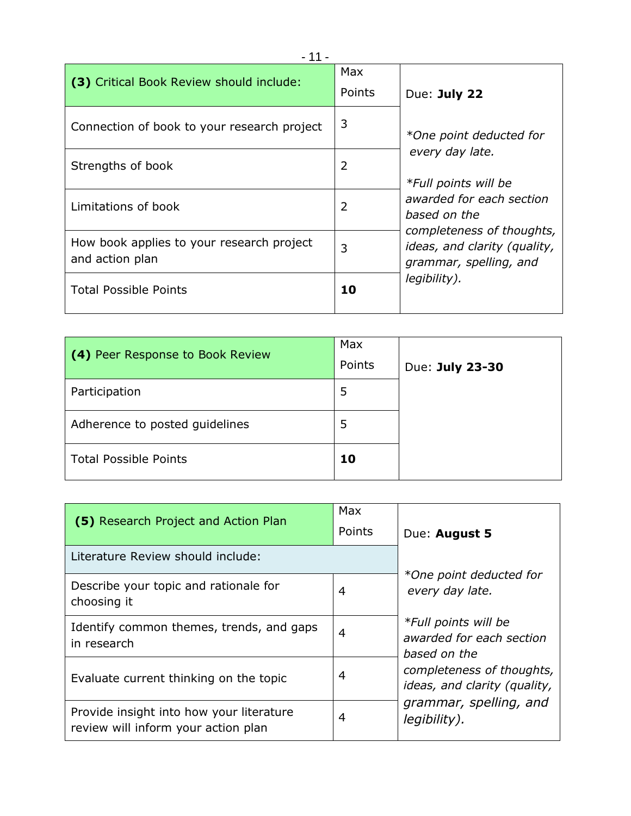| (3) Critical Book Review should include:                     | Max<br>Points | Due: July 22                                                                        |
|--------------------------------------------------------------|---------------|-------------------------------------------------------------------------------------|
| Connection of book to your research project                  | 3             | *One point deducted for                                                             |
| Strengths of book                                            | 2             | every day late.<br>*Full points will be                                             |
| Limitations of book                                          | 2             | awarded for each section<br>based on the                                            |
| How book applies to your research project<br>and action plan | 3             | completeness of thoughts,<br>ideas, and clarity (quality,<br>grammar, spelling, and |
| <b>Total Possible Points</b>                                 | 10            | legibility).                                                                        |

| (4) Peer Response to Book Review | Max<br>Points | Due: July 23-30 |
|----------------------------------|---------------|-----------------|
| Participation                    | 5             |                 |
| Adherence to posted guidelines   | 5             |                 |
| <b>Total Possible Points</b>     | 10            |                 |

| (5) Research Project and Action Plan                                            | Max<br>Points | Due: August 5                                                    |
|---------------------------------------------------------------------------------|---------------|------------------------------------------------------------------|
| Literature Review should include:                                               |               |                                                                  |
| Describe your topic and rationale for<br>choosing it                            | 4             | *One point deducted for<br>every day late.                       |
| Identify common themes, trends, and gaps<br>in research                         | 4             | *Full points will be<br>awarded for each section<br>based on the |
| Evaluate current thinking on the topic                                          | 4             | completeness of thoughts,<br>ideas, and clarity (quality,        |
| Provide insight into how your literature<br>review will inform your action plan | 4             | grammar, spelling, and<br>legibility).                           |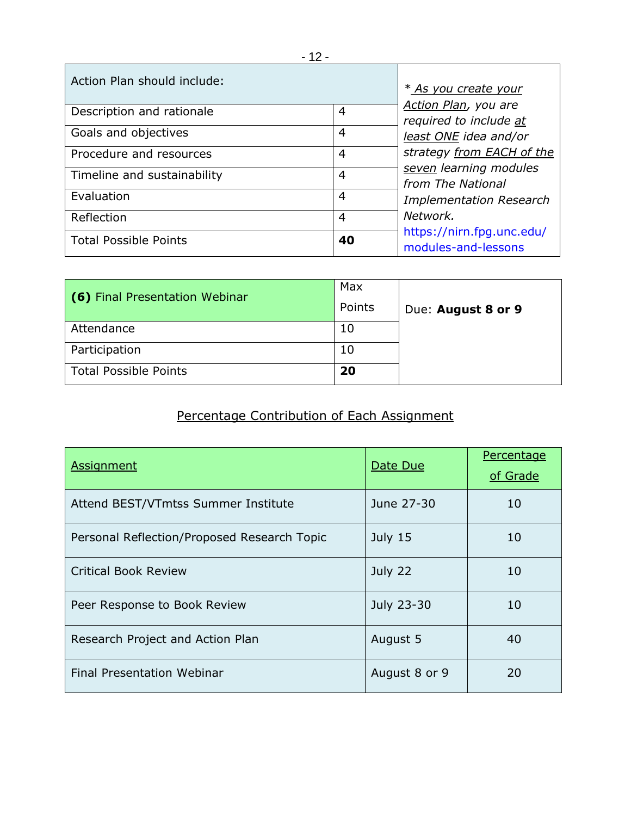| Action Plan should include:                                 | <i>* As you create your</i><br>Action Plan, you are<br>required to include at<br>least ONE idea and/or |                                                  |
|-------------------------------------------------------------|--------------------------------------------------------------------------------------------------------|--------------------------------------------------|
| Description and rationale<br>4<br>Goals and objectives<br>4 |                                                                                                        |                                                  |
|                                                             |                                                                                                        | Procedure and resources                          |
| Timeline and sustainability                                 | 4                                                                                                      | seven learning modules<br>from The National      |
| Evaluation                                                  | 4                                                                                                      | <b>Implementation Research</b>                   |
| Reflection                                                  | 4                                                                                                      | Network.                                         |
| <b>Total Possible Points</b>                                | 40                                                                                                     | https://nirn.fpg.unc.edu/<br>modules-and-lessons |

| (6) Final Presentation Webinar | Max<br>Points | Due: August 8 or 9 |
|--------------------------------|---------------|--------------------|
| Attendance                     | 10            |                    |
| Participation                  | 10            |                    |
| <b>Total Possible Points</b>   | 20            |                    |

# Percentage Contribution of Each Assignment

| <b>Assignment</b>                           | Date Due      | Percentage<br>of Grade |
|---------------------------------------------|---------------|------------------------|
| Attend BEST/VTmtss Summer Institute         | June 27-30    | 10                     |
| Personal Reflection/Proposed Research Topic | July $15$     | 10                     |
| Critical Book Review                        | July 22       | 10                     |
| Peer Response to Book Review                | July 23-30    | 10                     |
| Research Project and Action Plan            | August 5      | 40                     |
| <b>Final Presentation Webinar</b>           | August 8 or 9 | 20                     |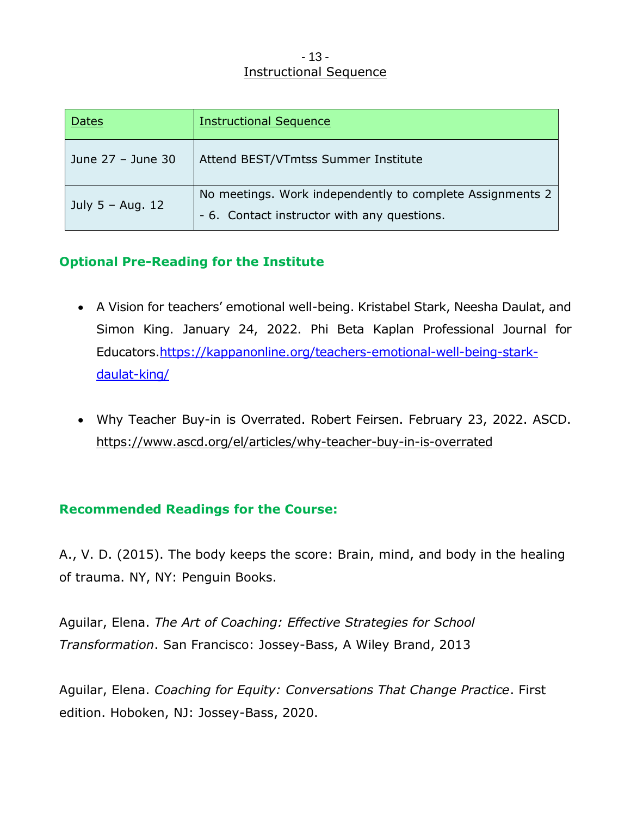#### - 13 - Instructional Sequence

| <b>Dates</b>      | <b>Instructional Sequence</b>                                                                            |
|-------------------|----------------------------------------------------------------------------------------------------------|
| June 27 - June 30 | Attend BEST/VTmtss Summer Institute                                                                      |
| July 5 - Aug. 12  | No meetings. Work independently to complete Assignments 2<br>- 6. Contact instructor with any questions. |

# **Optional Pre-Reading for the Institute**

- A Vision for teachers' emotional well-being. Kristabel Stark, Neesha Daulat, and Simon King. January 24, 2022. Phi Beta Kaplan Professional Journal for Educators[.https://kappanonline.org/teachers-emotional-well-being-stark](https://kappanonline.org/teachers-emotional-well-being-stark-daulat-king/)[daulat-king/](https://kappanonline.org/teachers-emotional-well-being-stark-daulat-king/)
- Why Teacher Buy-in is Overrated. Robert Feirsen. February 23, 2022. ASCD. <https://www.ascd.org/el/articles/why-teacher-buy-in-is-overrated>

# **Recommended Readings for the Course:**

A., V. D. (2015). The body keeps the score: Brain, mind, and body in the healing of trauma. NY, NY: Penguin Books.

Aguilar, Elena. *The Art of Coaching: Effective Strategies for School Transformation*. San Francisco: Jossey-Bass, A Wiley Brand, 2013

Aguilar, Elena. *Coaching for Equity: Conversations That Change Practice*. First edition. Hoboken, NJ: Jossey-Bass, 2020.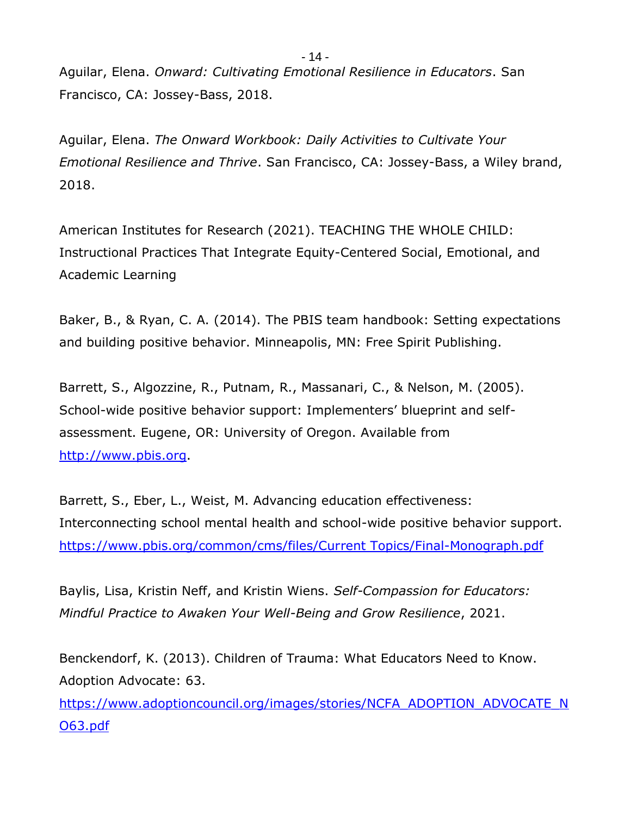Aguilar, Elena. *Onward: Cultivating Emotional Resilience in Educators*. San Francisco, CA: Jossey-Bass, 2018.

Aguilar, Elena. *The Onward Workbook: Daily Activities to Cultivate Your Emotional Resilience and Thrive*. San Francisco, CA: Jossey-Bass, a Wiley brand, 2018.

American Institutes for Research (2021). TEACHING THE WHOLE CHILD: Instructional Practices That Integrate Equity-Centered Social, Emotional, and Academic Learning

Baker, B., & Ryan, C. A. (2014). The PBIS team handbook: Setting expectations and building positive behavior. Minneapolis, MN: Free Spirit Publishing.

Barrett, S., Algozzine, R., Putnam, R., Massanari, C., & Nelson, M. (2005). School-wide positive behavior support: Implementers' blueprint and selfassessment. Eugene, OR: University of Oregon. Available from [http://www.pbis.org.](http://www.pbis.org/)

Barrett, S., Eber, L., Weist, M. Advancing education effectiveness: Interconnecting school mental health and school-wide positive behavior support. [https://www.pbis.org/common/cms/files/Current Topics/Final-Monograph.pdf](https://www.pbis.org/common/cms/files/Current%20Topics/Final-Monograph.pdf)

Baylis, Lisa, Kristin Neff, and Kristin Wiens. *Self-Compassion for Educators: Mindful Practice to Awaken Your Well-Being and Grow Resilience*, 2021.

Benckendorf, K. (2013). Children of Trauma: What Educators Need to Know. Adoption Advocate: 63.

[https://www.adoptioncouncil.org/images/stories/NCFA\\_ADOPTION\\_ADVOCATE\\_N](https://www.adoptioncouncil.org/images/stories/NCFA_ADOPTION_ADVOCATE_NO63.pdf) [O63.pdf](https://www.adoptioncouncil.org/images/stories/NCFA_ADOPTION_ADVOCATE_NO63.pdf)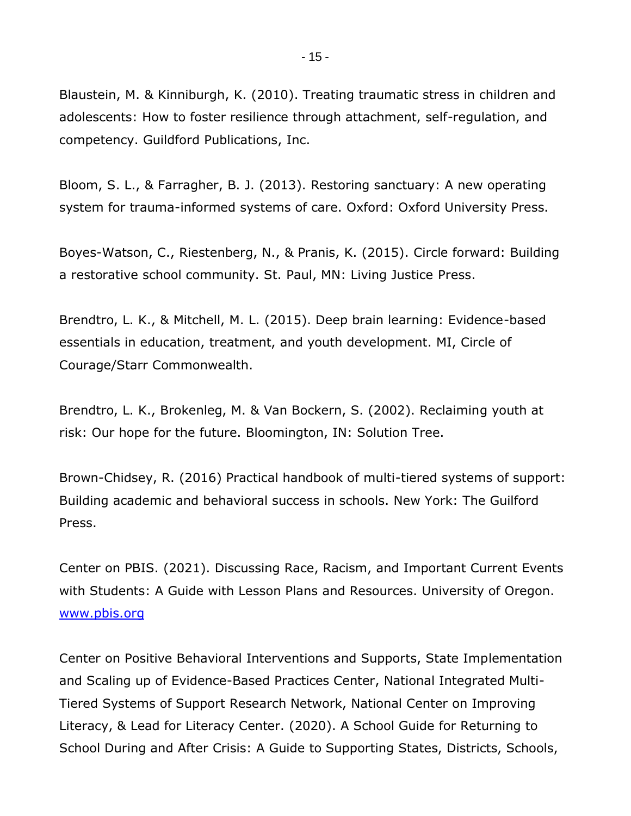Blaustein, M. & Kinniburgh, K. (2010). Treating traumatic stress in children and adolescents: How to foster resilience through attachment, self-regulation, and competency. Guildford Publications, Inc.

Bloom, S. L., & Farragher, B. J. (2013). Restoring sanctuary: A new operating system for trauma-informed systems of care. Oxford: Oxford University Press.

Boyes-Watson, C., Riestenberg, N., & Pranis, K. (2015). Circle forward: Building a restorative school community. St. Paul, MN: Living Justice Press.

Brendtro, L. K., & Mitchell, M. L. (2015). Deep brain learning: Evidence-based essentials in education, treatment, and youth development. MI, Circle of Courage/Starr Commonwealth.

Brendtro, L. K., Brokenleg, M. & Van Bockern, S. (2002). Reclaiming youth at risk: Our hope for the future. Bloomington, IN: Solution Tree.

Brown-Chidsey, R. (2016) Practical handbook of multi-tiered systems of support: Building academic and behavioral success in schools. New York: The Guilford Press.

Center on PBIS. (2021). Discussing Race, Racism, and Important Current Events with Students: A Guide with Lesson Plans and Resources. University of Oregon. [www.pbis.org](http://www.pbis.org/)

Center on Positive Behavioral Interventions and Supports, State Implementation and Scaling up of Evidence-Based Practices Center, National Integrated Multi-Tiered Systems of Support Research Network, National Center on Improving Literacy, & Lead for Literacy Center. (2020). A School Guide for Returning to School During and After Crisis: A Guide to Supporting States, Districts, Schools,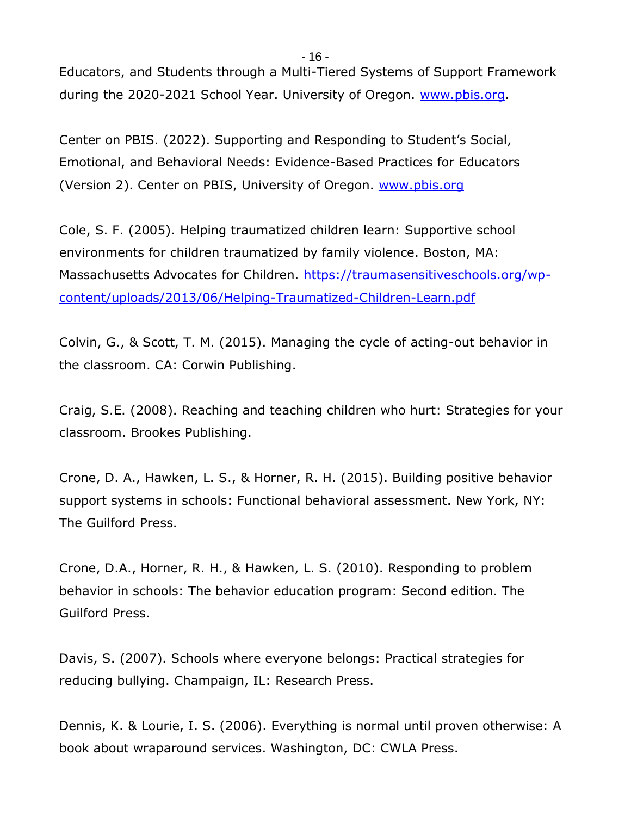Educators, and Students through a Multi-Tiered Systems of Support Framework during the 2020-2021 School Year. University of Oregon. [www.pbis.org.](http://www.pbis.org/)

Center on PBIS. (2022). Supporting and Responding to Student's Social, Emotional, and Behavioral Needs: Evidence-Based Practices for Educators (Version 2). Center on PBIS, University of Oregon. [www.pbis.org](http://www.pbis.org/)

Cole, S. F. (2005). Helping traumatized children learn: Supportive school environments for children traumatized by family violence. Boston, MA: Massachusetts Advocates for Children. [https://traumasensitiveschools.org/wp](https://traumasensitiveschools.org/wp-content/uploads/2013/06/Helping-Traumatized-Children-Learn.pdf)[content/uploads/2013/06/Helping-Traumatized-Children-Learn.pdf](https://traumasensitiveschools.org/wp-content/uploads/2013/06/Helping-Traumatized-Children-Learn.pdf)

Colvin, G., & Scott, T. M. (2015). Managing the cycle of acting-out behavior in the classroom. CA: Corwin Publishing.

Craig, S.E. (2008). Reaching and teaching children who hurt: Strategies for your classroom. Brookes Publishing.

Crone, D. A., Hawken, L. S., & Horner, R. H. (2015). Building positive behavior support systems in schools: Functional behavioral assessment. New York, NY: The Guilford Press.

Crone, D.A., Horner, R. H., & Hawken, L. S. (2010). Responding to problem behavior in schools: The behavior education program: Second edition. The Guilford Press.

Davis, S. (2007). Schools where everyone belongs: Practical strategies for reducing bullying. Champaign, IL: Research Press.

Dennis, K. & Lourie, I. S. (2006). Everything is normal until proven otherwise: A book about wraparound services. Washington, DC: CWLA Press.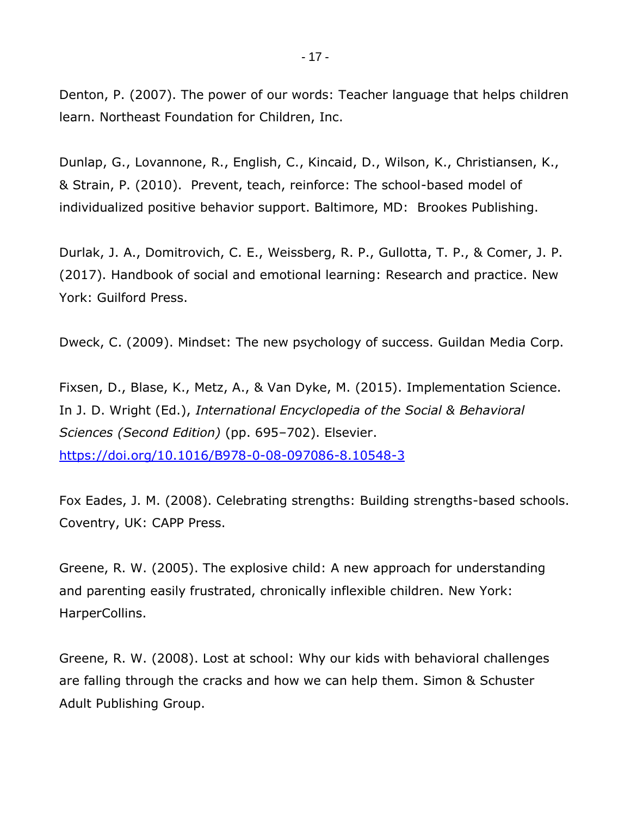Denton, P. (2007). The power of our words: Teacher language that helps children learn. Northeast Foundation for Children, Inc.

Dunlap, G., Lovannone, R., English, C., Kincaid, D., Wilson, K., Christiansen, K., & Strain, P. (2010). Prevent, teach, reinforce: The school-based model of individualized positive behavior support. Baltimore, MD: Brookes Publishing.

Durlak, J. A., Domitrovich, C. E., Weissberg, R. P., Gullotta, T. P., & Comer, J. P. (2017). Handbook of social and emotional learning: Research and practice. New York: Guilford Press.

Dweck, C. (2009). Mindset: The new psychology of success. Guildan Media Corp.

Fixsen, D., Blase, K., Metz, A., & Van Dyke, M. (2015). Implementation Science. In J. D. Wright (Ed.), *International Encyclopedia of the Social & Behavioral Sciences (Second Edition)* (pp. 695–702). Elsevier. <https://doi.org/10.1016/B978-0-08-097086-8.10548-3>

Fox Eades, J. M. (2008). Celebrating strengths: Building strengths-based schools. Coventry, UK: CAPP Press.

Greene, R. W. (2005). The explosive child: A new approach for understanding and parenting easily frustrated, chronically inflexible children. New York: HarperCollins.

Greene, R. W. (2008). Lost at school: Why our kids with behavioral challenges are falling through the cracks and how we can help them. Simon & Schuster Adult Publishing Group.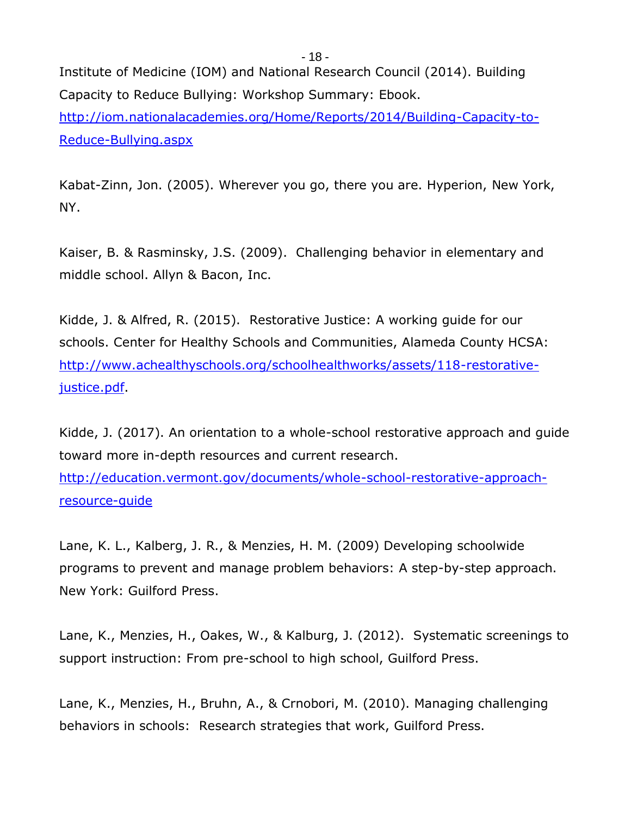Institute of Medicine (IOM) and National Research Council (2014). Building Capacity to Reduce Bullying: Workshop Summary: Ebook. [http://iom.nationalacademies.org/Home/Reports/2014/Building-Capacity-to-](http://iom.nationalacademies.org/Home/Reports/2014/Building-Capacity-to-Reduce-Bullying.aspx)[Reduce-Bullying.aspx](http://iom.nationalacademies.org/Home/Reports/2014/Building-Capacity-to-Reduce-Bullying.aspx)

Kabat-Zinn, Jon. (2005). Wherever you go, there you are. Hyperion, New York, NY.

Kaiser, B. & Rasminsky, J.S. (2009). Challenging behavior in elementary and middle school. Allyn & Bacon, Inc.

Kidde, J. & Alfred, R. (2015). Restorative Justice: A working guide for our schools. Center for Healthy Schools and Communities, Alameda County HCSA: [http://www.achealthyschools.org/schoolhealthworks/assets/118-restorative](http://www.achealthyschools.org/schoolhealthworks/assets/118-restorative-justice.pdf)[justice.pdf.](http://www.achealthyschools.org/schoolhealthworks/assets/118-restorative-justice.pdf)

Kidde, J. (2017). An orientation to a whole-school restorative approach and guide toward more in-depth resources and current research.

[http://education.vermont.gov/documents/whole-school-restorative-approach](http://education.vermont.gov/documents/whole-school-restorative-approach-resource-guide)[resource-guide](http://education.vermont.gov/documents/whole-school-restorative-approach-resource-guide)

Lane, K. L., Kalberg, J. R., & Menzies, H. M. (2009) Developing schoolwide programs to prevent and manage problem behaviors: A step-by-step approach. New York: Guilford Press.

Lane, K., Menzies, H., Oakes, W., & Kalburg, J. (2012). Systematic screenings to support instruction: From pre-school to high school, Guilford Press.

Lane, K., Menzies, H., Bruhn, A., & Crnobori, M. (2010). Managing challenging behaviors in schools: Research strategies that work, Guilford Press.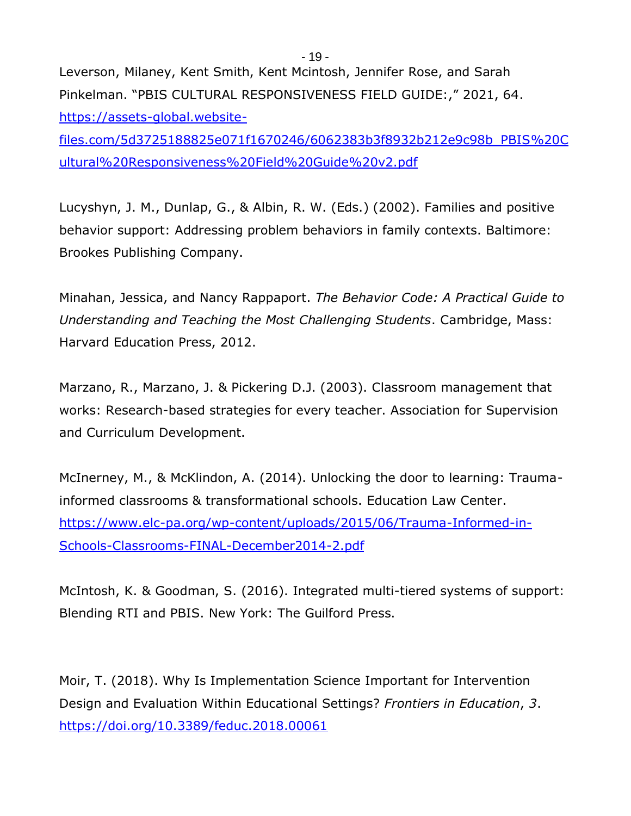Leverson, Milaney, Kent Smith, Kent Mcintosh, Jennifer Rose, and Sarah Pinkelman. "PBIS CULTURAL RESPONSIVENESS FIELD GUIDE:," 2021, 64. [https://assets-global.website-](https://assets-global.website-files.com/5d3725188825e071f1670246/6062383b3f8932b212e9c98b_PBIS%20Cultural%20Responsiveness%20Field%20Guide%20v2.pdf)

[files.com/5d3725188825e071f1670246/6062383b3f8932b212e9c98b\\_PBIS%20C](https://assets-global.website-files.com/5d3725188825e071f1670246/6062383b3f8932b212e9c98b_PBIS%20Cultural%20Responsiveness%20Field%20Guide%20v2.pdf) [ultural%20Responsiveness%20Field%20Guide%20v2.pdf](https://assets-global.website-files.com/5d3725188825e071f1670246/6062383b3f8932b212e9c98b_PBIS%20Cultural%20Responsiveness%20Field%20Guide%20v2.pdf)

Lucyshyn, J. M., Dunlap, G., & Albin, R. W. (Eds.) (2002). Families and positive behavior support: Addressing problem behaviors in family contexts. Baltimore: Brookes Publishing Company.

Minahan, Jessica, and Nancy Rappaport. *The Behavior Code: A Practical Guide to Understanding and Teaching the Most Challenging Students*. Cambridge, Mass: Harvard Education Press, 2012.

Marzano, R., Marzano, J. & Pickering D.J. (2003). Classroom management that works: Research-based strategies for every teacher. Association for Supervision and Curriculum Development.

McInerney, M., & McKlindon, A. (2014). Unlocking the door to learning: Traumainformed classrooms & transformational schools. Education Law Center. [https://www.elc-pa.org/wp-content/uploads/2015/06/Trauma-Informed-in-](https://www.elc-pa.org/wp-content/uploads/2015/06/Trauma-Informed-in-Schools-Classrooms-FINAL-December2014-2.pdf)[Schools-Classrooms-FINAL-December2014-2.pdf](https://www.elc-pa.org/wp-content/uploads/2015/06/Trauma-Informed-in-Schools-Classrooms-FINAL-December2014-2.pdf)

McIntosh, K. & Goodman, S. (2016). Integrated multi-tiered systems of support: Blending RTI and PBIS. New York: The Guilford Press.

Moir, T. (2018). Why Is Implementation Science Important for Intervention Design and Evaluation Within Educational Settings? *Frontiers in Education*, *3*. <https://doi.org/10.3389/feduc.2018.00061>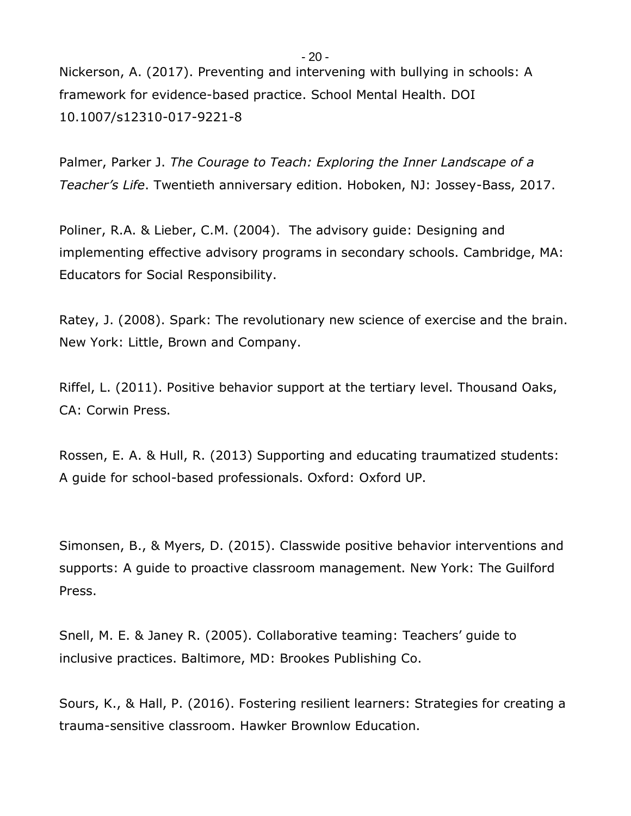Nickerson, A. (2017). Preventing and intervening with bullying in schools: A framework for evidence-based practice. School Mental Health. DOI 10.1007/s12310-017-9221-8

Palmer, Parker J. *The Courage to Teach: Exploring the Inner Landscape of a Teacher's Life*. Twentieth anniversary edition. Hoboken, NJ: Jossey-Bass, 2017.

Poliner, R.A. & Lieber, C.M. (2004). The advisory guide: Designing and implementing effective advisory programs in secondary schools. Cambridge, MA: Educators for Social Responsibility.

Ratey, J. (2008). Spark: The revolutionary new science of exercise and the brain. New York: Little, Brown and Company.

Riffel, L. (2011). Positive behavior support at the tertiary level. Thousand Oaks, CA: Corwin Press.

Rossen, E. A. & Hull, R. (2013) Supporting and educating traumatized students: A guide for school-based professionals. Oxford: Oxford UP.

Simonsen, B., & Myers, D. (2015). Classwide positive behavior interventions and supports: A guide to proactive classroom management. New York: The Guilford Press.

Snell, M. E. & Janey R. (2005). Collaborative teaming: Teachers' guide to inclusive practices. Baltimore, MD: Brookes Publishing Co.

Sours, K., & Hall, P. (2016). Fostering resilient learners: Strategies for creating a trauma-sensitive classroom. Hawker Brownlow Education.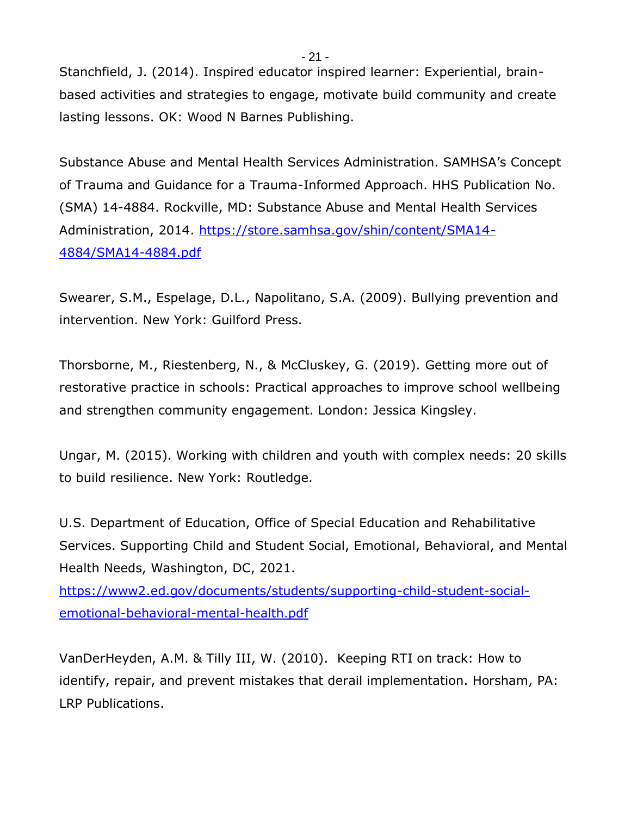Stanchfield, J. (2014). Inspired educator inspired learner: Experiential, brainbased activities and strategies to engage, motivate build community and create lasting lessons. OK: Wood N Barnes Publishing.

Substance Abuse and Mental Health Services Administration. SAMHSA's Concept of Trauma and Guidance for a Trauma-Informed Approach. HHS Publication No. (SMA) 14-4884. Rockville, MD: Substance Abuse and Mental Health Services Administration, 2014. [https://store.samhsa.gov/shin/content/SMA14-](https://store.samhsa.gov/shin/content/SMA14-4884/SMA14-4884.pdf) [4884/SMA14-4884.pdf](https://store.samhsa.gov/shin/content/SMA14-4884/SMA14-4884.pdf)

Swearer, S.M., Espelage, D.L., Napolitano, S.A. (2009). Bullying prevention and intervention. New York: Guilford Press.

Thorsborne, M., Riestenberg, N., & McCluskey, G. (2019). Getting more out of restorative practice in schools: Practical approaches to improve school wellbeing and strengthen community engagement. London: Jessica Kingsley.

Ungar, M. (2015). Working with children and youth with complex needs: 20 skills to build resilience. New York: Routledge.

U.S. Department of Education, Office of Special Education and Rehabilitative Services. Supporting Child and Student Social, Emotional, Behavioral, and Mental Health Needs, Washington, DC, 2021.

[https://www2.ed.gov/documents/students/supporting-child-student-social](https://www2.ed.gov/documents/students/supporting-child-student-social-emotional-behavioral-mental-health.pdf)[emotional-behavioral-mental-health.pdf](https://www2.ed.gov/documents/students/supporting-child-student-social-emotional-behavioral-mental-health.pdf) 

VanDerHeyden, A.M. & Tilly III, W. (2010). Keeping RTI on track: How to identify, repair, and prevent mistakes that derail implementation. Horsham, PA: LRP Publications.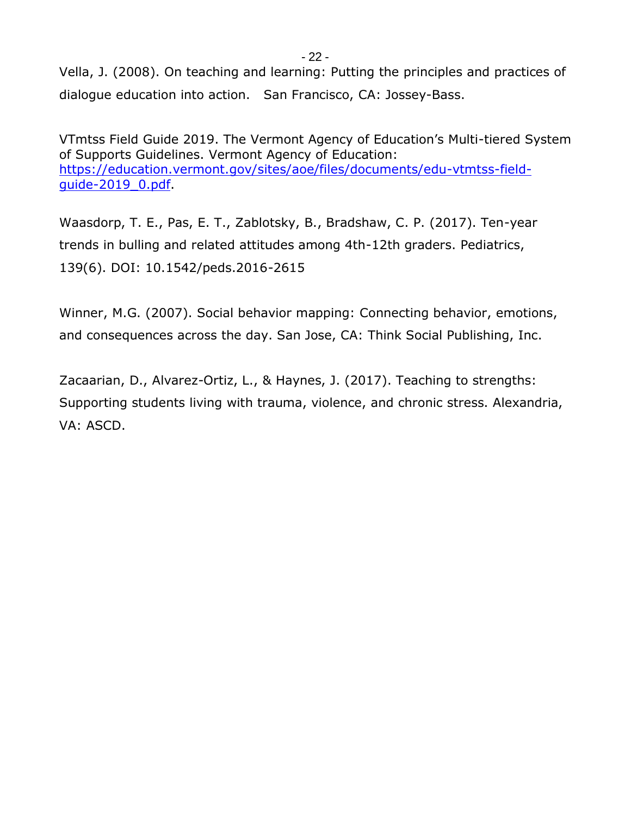Vella, J. (2008). On teaching and learning: Putting the principles and practices of dialogue education into action. San Francisco, CA: Jossey-Bass.

VTmtss Field Guide 2019. The Vermont Agency of Education's Multi-tiered System of Supports Guidelines. Vermont Agency of Education: [https://education.vermont.gov/sites/aoe/files/documents/edu-vtmtss-field](https://education.vermont.gov/sites/aoe/files/documents/edu-vtmtss-field-guide-2019_0.pdf)[guide-2019\\_0.pdf.](https://education.vermont.gov/sites/aoe/files/documents/edu-vtmtss-field-guide-2019_0.pdf)

Waasdorp, T. E., Pas, E. T., Zablotsky, B., Bradshaw, C. P. (2017). Ten-year trends in bulling and related attitudes among 4th-12th graders. Pediatrics, 139(6). DOI: 10.1542/peds.2016-2615

Winner, M.G. (2007). Social behavior mapping: Connecting behavior, emotions, and consequences across the day. San Jose, CA: Think Social Publishing, Inc.

Zacaarian, D., Alvarez-Ortiz, L., & Haynes, J. (2017). Teaching to strengths: Supporting students living with trauma, violence, and chronic stress. Alexandria, VA: ASCD.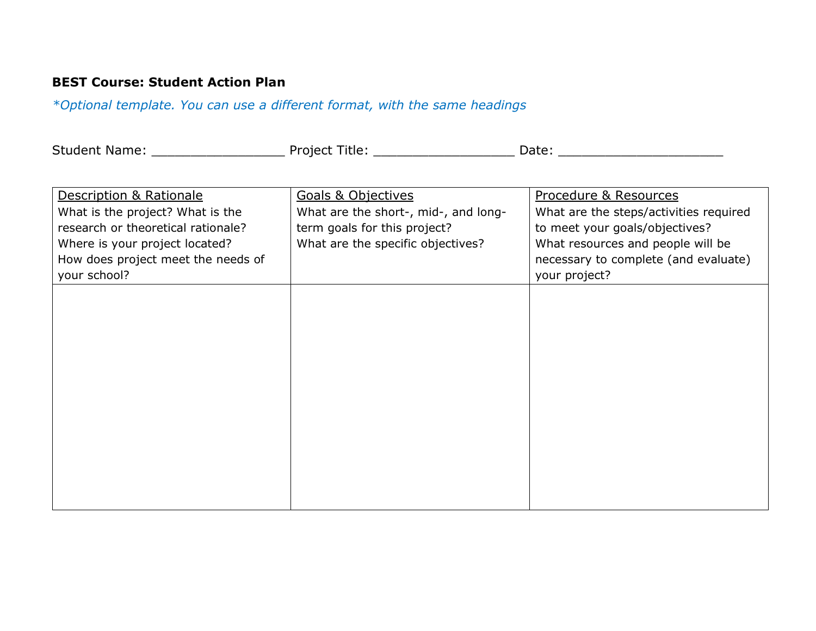# **BEST Course: Student Action Plan**

*\*Optional template. You can use a different format, with the same headings*

| <b>Student</b> | Proiect | .     |  |
|----------------|---------|-------|--|
| : Name:        | itle    | dle." |  |
|                |         |       |  |

| Description & Rationale            | <b>Goals &amp; Objectives</b>        | Procedure & Resources                  |
|------------------------------------|--------------------------------------|----------------------------------------|
| What is the project? What is the   | What are the short-, mid-, and long- | What are the steps/activities required |
| research or theoretical rationale? | term goals for this project?         | to meet your goals/objectives?         |
| Where is your project located?     | What are the specific objectives?    | What resources and people will be      |
| How does project meet the needs of |                                      | necessary to complete (and evaluate)   |
| your school?                       |                                      | your project?                          |
|                                    |                                      |                                        |
|                                    |                                      |                                        |
|                                    |                                      |                                        |
|                                    |                                      |                                        |
|                                    |                                      |                                        |
|                                    |                                      |                                        |
|                                    |                                      |                                        |
|                                    |                                      |                                        |
|                                    |                                      |                                        |
|                                    |                                      |                                        |
|                                    |                                      |                                        |
|                                    |                                      |                                        |
|                                    |                                      |                                        |
|                                    |                                      |                                        |